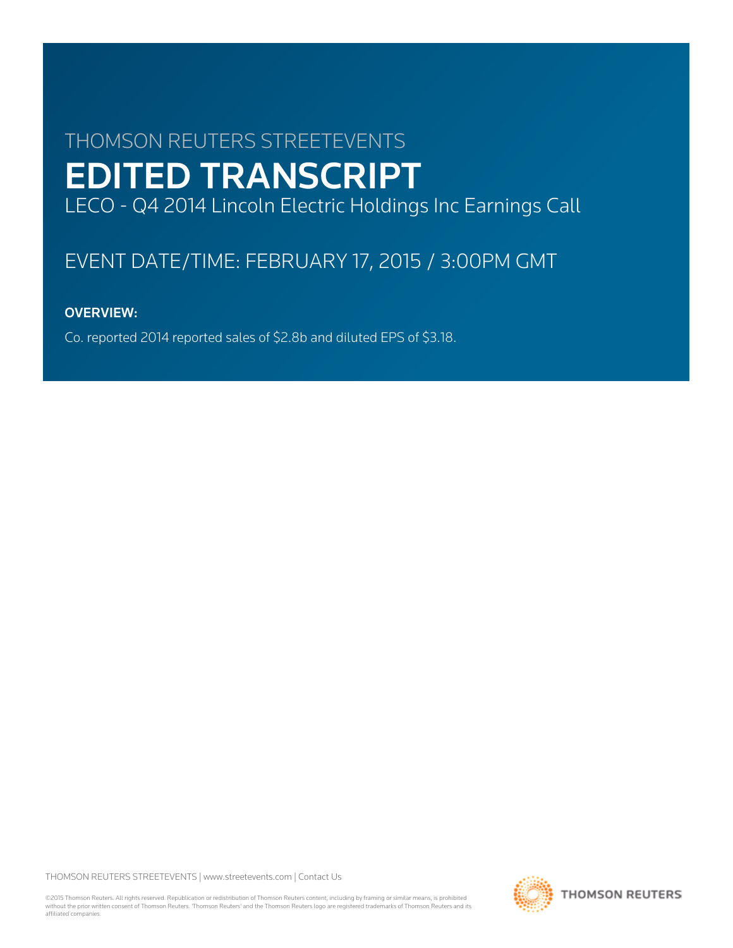# THOMSON REUTERS STREETEVENTS EDITED TRANSCRIPT LECO - Q4 2014 Lincoln Electric Holdings Inc Earnings Call

# EVENT DATE/TIME: FEBRUARY 17, 2015 / 3:00PM GMT

# OVERVIEW:

Co. reported 2014 reported sales of \$2.8b and diluted EPS of \$3.18.

THOMSON REUTERS STREETEVENTS | [www.streetevents.com](http://www.streetevents.com) | [Contact Us](http://www010.streetevents.com/contact.asp)

©2015 Thomson Reuters. All rights reserved. Republication or redistribution of Thomson Reuters content, including by framing or similar means, is prohibited without the prior written consent of Thomson Reuters. 'Thomson Reuters' and the Thomson Reuters logo are registered trademarks of Thomson Reuters and its affiliated companies.

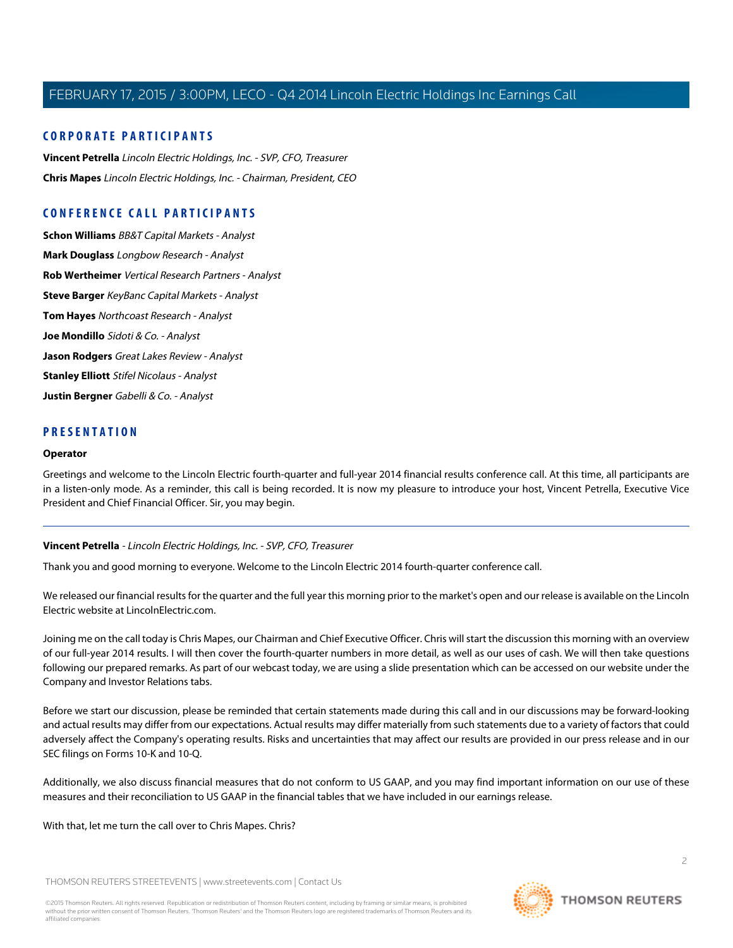# **CORPORATE PARTICIPANTS**

**[Vincent Petrella](#page-1-0)** Lincoln Electric Holdings, Inc. - SVP, CFO, Treasurer **[Chris Mapes](#page-2-0)** Lincoln Electric Holdings, Inc. - Chairman, President, CEO

# **CONFERENCE CALL PARTICIPANTS**

**[Schon Williams](#page-5-0)** BB&T Capital Markets - Analyst **[Mark Douglass](#page-6-0)** Longbow Research - Analyst **[Rob Wertheimer](#page-7-0)** Vertical Research Partners - Analyst **[Steve Barger](#page-8-0)** KeyBanc Capital Markets - Analyst **[Tom Hayes](#page-10-0)** Northcoast Research - Analyst **[Joe Mondillo](#page-10-1)** Sidoti & Co. - Analyst **[Jason Rodgers](#page-11-0)** Great Lakes Review - Analyst **[Stanley Elliott](#page-12-0)** Stifel Nicolaus - Analyst **[Justin Bergner](#page-13-0)** Gabelli & Co. - Analyst

# **PRESENTATION**

#### **Operator**

<span id="page-1-0"></span>Greetings and welcome to the Lincoln Electric fourth-quarter and full-year 2014 financial results conference call. At this time, all participants are in a listen-only mode. As a reminder, this call is being recorded. It is now my pleasure to introduce your host, Vincent Petrella, Executive Vice President and Chief Financial Officer. Sir, you may begin.

#### **Vincent Petrella** - Lincoln Electric Holdings, Inc. - SVP, CFO, Treasurer

Thank you and good morning to everyone. Welcome to the Lincoln Electric 2014 fourth-quarter conference call.

We released our financial results for the quarter and the full year this morning prior to the market's open and our release is available on the Lincoln Electric website at LincolnElectric.com.

Joining me on the call today is Chris Mapes, our Chairman and Chief Executive Officer. Chris will start the discussion this morning with an overview of our full-year 2014 results. I will then cover the fourth-quarter numbers in more detail, as well as our uses of cash. We will then take questions following our prepared remarks. As part of our webcast today, we are using a slide presentation which can be accessed on our website under the Company and Investor Relations tabs.

Before we start our discussion, please be reminded that certain statements made during this call and in our discussions may be forward-looking and actual results may differ from our expectations. Actual results may differ materially from such statements due to a variety of factors that could adversely affect the Company's operating results. Risks and uncertainties that may affect our results are provided in our press release and in our SEC filings on Forms 10-K and 10-Q.

Additionally, we also discuss financial measures that do not conform to US GAAP, and you may find important information on our use of these measures and their reconciliation to US GAAP in the financial tables that we have included in our earnings release.

With that, let me turn the call over to Chris Mapes. Chris?

THOMSON REUTERS STREETEVENTS | [www.streetevents.com](http://www.streetevents.com) | [Contact Us](http://www010.streetevents.com/contact.asp)

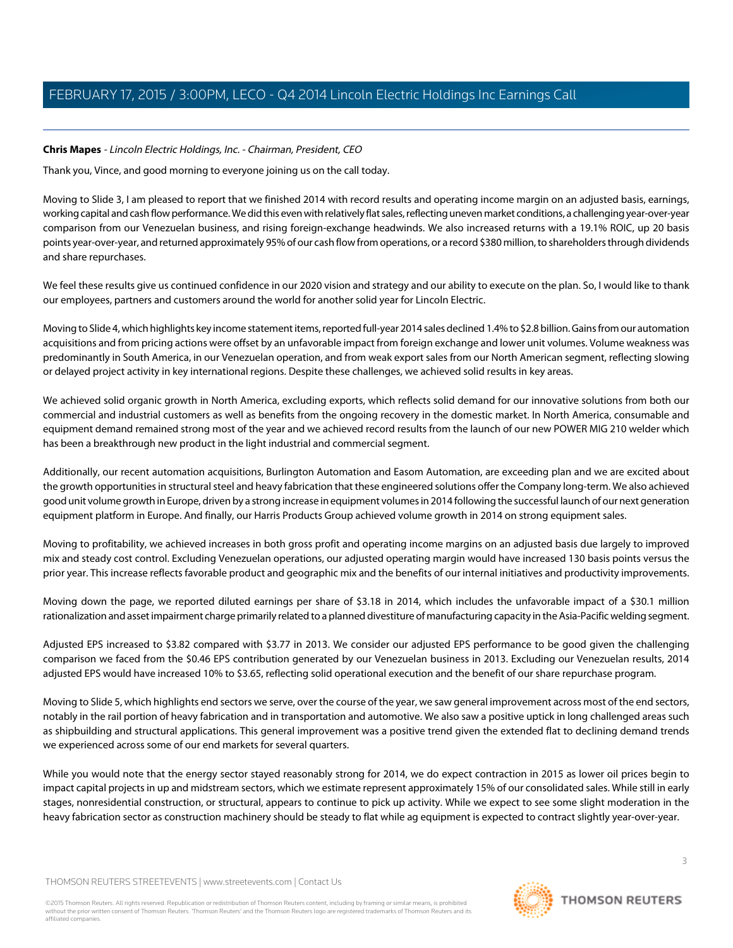# <span id="page-2-0"></span>**Chris Mapes** - Lincoln Electric Holdings, Inc. - Chairman, President, CEO

Thank you, Vince, and good morning to everyone joining us on the call today.

Moving to Slide 3, I am pleased to report that we finished 2014 with record results and operating income margin on an adjusted basis, earnings, working capital and cash flow performance. We did this even with relatively flat sales, reflecting uneven market conditions, a challenging year-over-year comparison from our Venezuelan business, and rising foreign-exchange headwinds. We also increased returns with a 19.1% ROIC, up 20 basis points year-over-year, and returned approximately 95% of our cash flow from operations, or a record \$380 million, to shareholders through dividends and share repurchases.

We feel these results give us continued confidence in our 2020 vision and strategy and our ability to execute on the plan. So, I would like to thank our employees, partners and customers around the world for another solid year for Lincoln Electric.

Moving to Slide 4, which highlights key income statement items, reported full-year 2014 sales declined 1.4% to \$2.8 billion. Gains from our automation acquisitions and from pricing actions were offset by an unfavorable impact from foreign exchange and lower unit volumes. Volume weakness was predominantly in South America, in our Venezuelan operation, and from weak export sales from our North American segment, reflecting slowing or delayed project activity in key international regions. Despite these challenges, we achieved solid results in key areas.

We achieved solid organic growth in North America, excluding exports, which reflects solid demand for our innovative solutions from both our commercial and industrial customers as well as benefits from the ongoing recovery in the domestic market. In North America, consumable and equipment demand remained strong most of the year and we achieved record results from the launch of our new POWER MIG 210 welder which has been a breakthrough new product in the light industrial and commercial segment.

Additionally, our recent automation acquisitions, Burlington Automation and Easom Automation, are exceeding plan and we are excited about the growth opportunities in structural steel and heavy fabrication that these engineered solutions offer the Company long-term. We also achieved good unit volume growth in Europe, driven by a strong increase in equipment volumes in 2014 following the successful launch of our next generation equipment platform in Europe. And finally, our Harris Products Group achieved volume growth in 2014 on strong equipment sales.

Moving to profitability, we achieved increases in both gross profit and operating income margins on an adjusted basis due largely to improved mix and steady cost control. Excluding Venezuelan operations, our adjusted operating margin would have increased 130 basis points versus the prior year. This increase reflects favorable product and geographic mix and the benefits of our internal initiatives and productivity improvements.

Moving down the page, we reported diluted earnings per share of \$3.18 in 2014, which includes the unfavorable impact of a \$30.1 million rationalization and asset impairment charge primarily related to a planned divestiture of manufacturing capacity in the Asia-Pacific welding segment.

Adjusted EPS increased to \$3.82 compared with \$3.77 in 2013. We consider our adjusted EPS performance to be good given the challenging comparison we faced from the \$0.46 EPS contribution generated by our Venezuelan business in 2013. Excluding our Venezuelan results, 2014 adjusted EPS would have increased 10% to \$3.65, reflecting solid operational execution and the benefit of our share repurchase program.

Moving to Slide 5, which highlights end sectors we serve, over the course of the year, we saw general improvement across most of the end sectors, notably in the rail portion of heavy fabrication and in transportation and automotive. We also saw a positive uptick in long challenged areas such as shipbuilding and structural applications. This general improvement was a positive trend given the extended flat to declining demand trends we experienced across some of our end markets for several quarters.

While you would note that the energy sector stayed reasonably strong for 2014, we do expect contraction in 2015 as lower oil prices begin to impact capital projects in up and midstream sectors, which we estimate represent approximately 15% of our consolidated sales. While still in early stages, nonresidential construction, or structural, appears to continue to pick up activity. While we expect to see some slight moderation in the heavy fabrication sector as construction machinery should be steady to flat while ag equipment is expected to contract slightly year-over-year.

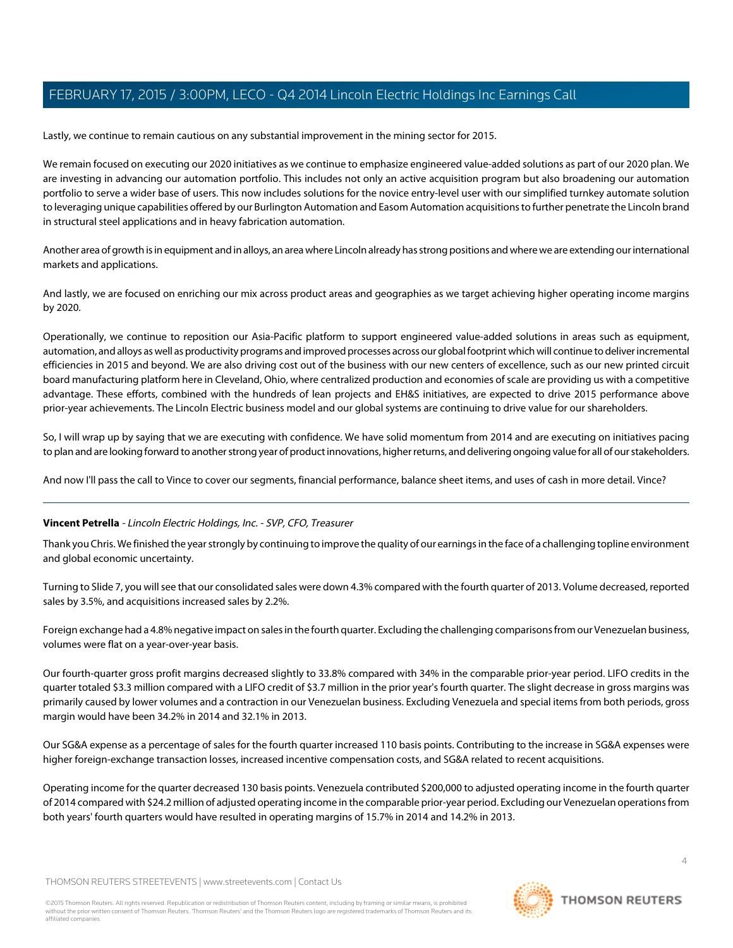Lastly, we continue to remain cautious on any substantial improvement in the mining sector for 2015.

We remain focused on executing our 2020 initiatives as we continue to emphasize engineered value-added solutions as part of our 2020 plan. We are investing in advancing our automation portfolio. This includes not only an active acquisition program but also broadening our automation portfolio to serve a wider base of users. This now includes solutions for the novice entry-level user with our simplified turnkey automate solution to leveraging unique capabilities offered by our Burlington Automation and Easom Automation acquisitions to further penetrate the Lincoln brand in structural steel applications and in heavy fabrication automation.

Another area of growth is in equipment and in alloys, an area where Lincoln already has strong positions and where we are extending our international markets and applications.

And lastly, we are focused on enriching our mix across product areas and geographies as we target achieving higher operating income margins by 2020.

Operationally, we continue to reposition our Asia-Pacific platform to support engineered value-added solutions in areas such as equipment, automation, and alloys as well as productivity programs and improved processes across our global footprint which will continue to deliver incremental efficiencies in 2015 and beyond. We are also driving cost out of the business with our new centers of excellence, such as our new printed circuit board manufacturing platform here in Cleveland, Ohio, where centralized production and economies of scale are providing us with a competitive advantage. These efforts, combined with the hundreds of lean projects and EH&S initiatives, are expected to drive 2015 performance above prior-year achievements. The Lincoln Electric business model and our global systems are continuing to drive value for our shareholders.

So, I will wrap up by saying that we are executing with confidence. We have solid momentum from 2014 and are executing on initiatives pacing to plan and are looking forward to another strong year of product innovations, higher returns, and delivering ongoing value for all of our stakeholders.

And now I'll pass the call to Vince to cover our segments, financial performance, balance sheet items, and uses of cash in more detail. Vince?

# **Vincent Petrella** - Lincoln Electric Holdings, Inc. - SVP, CFO, Treasurer

Thank you Chris. We finished the year strongly by continuing to improve the quality of our earnings in the face of a challenging topline environment and global economic uncertainty.

Turning to Slide 7, you will see that our consolidated sales were down 4.3% compared with the fourth quarter of 2013. Volume decreased, reported sales by 3.5%, and acquisitions increased sales by 2.2%.

Foreign exchange had a 4.8% negative impact on sales in the fourth quarter. Excluding the challenging comparisons from our Venezuelan business, volumes were flat on a year-over-year basis.

Our fourth-quarter gross profit margins decreased slightly to 33.8% compared with 34% in the comparable prior-year period. LIFO credits in the quarter totaled \$3.3 million compared with a LIFO credit of \$3.7 million in the prior year's fourth quarter. The slight decrease in gross margins was primarily caused by lower volumes and a contraction in our Venezuelan business. Excluding Venezuela and special items from both periods, gross margin would have been 34.2% in 2014 and 32.1% in 2013.

Our SG&A expense as a percentage of sales for the fourth quarter increased 110 basis points. Contributing to the increase in SG&A expenses were higher foreign-exchange transaction losses, increased incentive compensation costs, and SG&A related to recent acquisitions.

Operating income for the quarter decreased 130 basis points. Venezuela contributed \$200,000 to adjusted operating income in the fourth quarter of 2014 compared with \$24.2 million of adjusted operating income in the comparable prior-year period. Excluding our Venezuelan operations from both years' fourth quarters would have resulted in operating margins of 15.7% in 2014 and 14.2% in 2013.

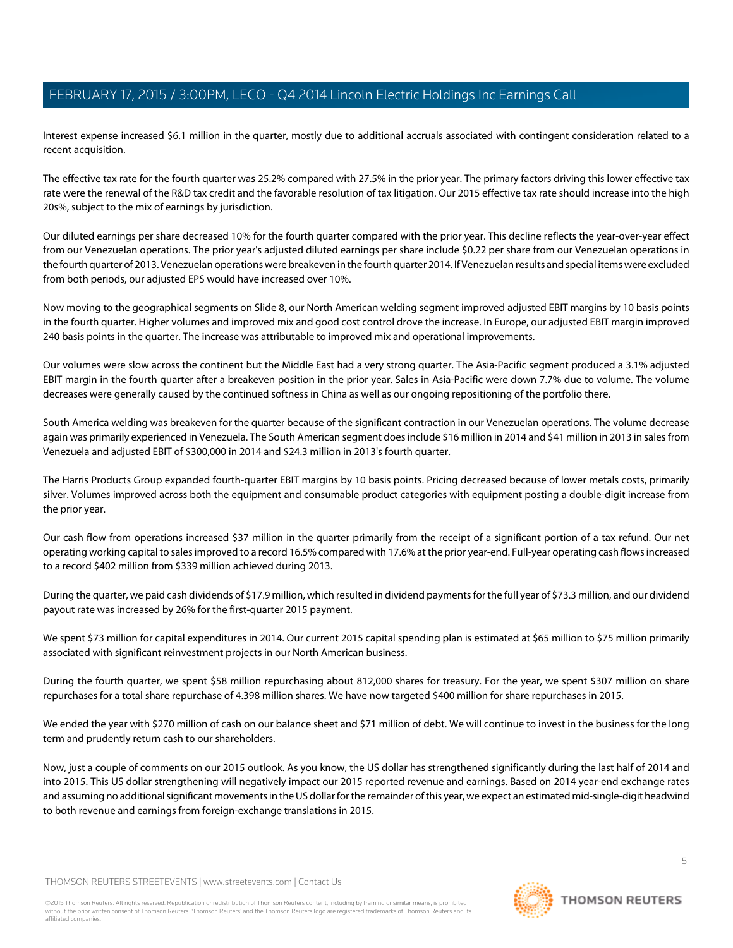Interest expense increased \$6.1 million in the quarter, mostly due to additional accruals associated with contingent consideration related to a recent acquisition.

The effective tax rate for the fourth quarter was 25.2% compared with 27.5% in the prior year. The primary factors driving this lower effective tax rate were the renewal of the R&D tax credit and the favorable resolution of tax litigation. Our 2015 effective tax rate should increase into the high 20s%, subject to the mix of earnings by jurisdiction.

Our diluted earnings per share decreased 10% for the fourth quarter compared with the prior year. This decline reflects the year-over-year effect from our Venezuelan operations. The prior year's adjusted diluted earnings per share include \$0.22 per share from our Venezuelan operations in the fourth quarter of 2013. Venezuelan operations were breakeven in the fourth quarter 2014. If Venezuelan results and special items were excluded from both periods, our adjusted EPS would have increased over 10%.

Now moving to the geographical segments on Slide 8, our North American welding segment improved adjusted EBIT margins by 10 basis points in the fourth quarter. Higher volumes and improved mix and good cost control drove the increase. In Europe, our adjusted EBIT margin improved 240 basis points in the quarter. The increase was attributable to improved mix and operational improvements.

Our volumes were slow across the continent but the Middle East had a very strong quarter. The Asia-Pacific segment produced a 3.1% adjusted EBIT margin in the fourth quarter after a breakeven position in the prior year. Sales in Asia-Pacific were down 7.7% due to volume. The volume decreases were generally caused by the continued softness in China as well as our ongoing repositioning of the portfolio there.

South America welding was breakeven for the quarter because of the significant contraction in our Venezuelan operations. The volume decrease again was primarily experienced in Venezuela. The South American segment does include \$16 million in 2014 and \$41 million in 2013 in sales from Venezuela and adjusted EBIT of \$300,000 in 2014 and \$24.3 million in 2013's fourth quarter.

The Harris Products Group expanded fourth-quarter EBIT margins by 10 basis points. Pricing decreased because of lower metals costs, primarily silver. Volumes improved across both the equipment and consumable product categories with equipment posting a double-digit increase from the prior year.

Our cash flow from operations increased \$37 million in the quarter primarily from the receipt of a significant portion of a tax refund. Our net operating working capital to sales improved to a record 16.5% compared with 17.6% at the prior year-end. Full-year operating cash flows increased to a record \$402 million from \$339 million achieved during 2013.

During the quarter, we paid cash dividends of \$17.9 million, which resulted in dividend payments for the full year of \$73.3 million, and our dividend payout rate was increased by 26% for the first-quarter 2015 payment.

We spent \$73 million for capital expenditures in 2014. Our current 2015 capital spending plan is estimated at \$65 million to \$75 million primarily associated with significant reinvestment projects in our North American business.

During the fourth quarter, we spent \$58 million repurchasing about 812,000 shares for treasury. For the year, we spent \$307 million on share repurchases for a total share repurchase of 4.398 million shares. We have now targeted \$400 million for share repurchases in 2015.

We ended the year with \$270 million of cash on our balance sheet and \$71 million of debt. We will continue to invest in the business for the long term and prudently return cash to our shareholders.

Now, just a couple of comments on our 2015 outlook. As you know, the US dollar has strengthened significantly during the last half of 2014 and into 2015. This US dollar strengthening will negatively impact our 2015 reported revenue and earnings. Based on 2014 year-end exchange rates and assuming no additional significant movements in the US dollar for the remainder of this year, we expect an estimated mid-single-digit headwind to both revenue and earnings from foreign-exchange translations in 2015.

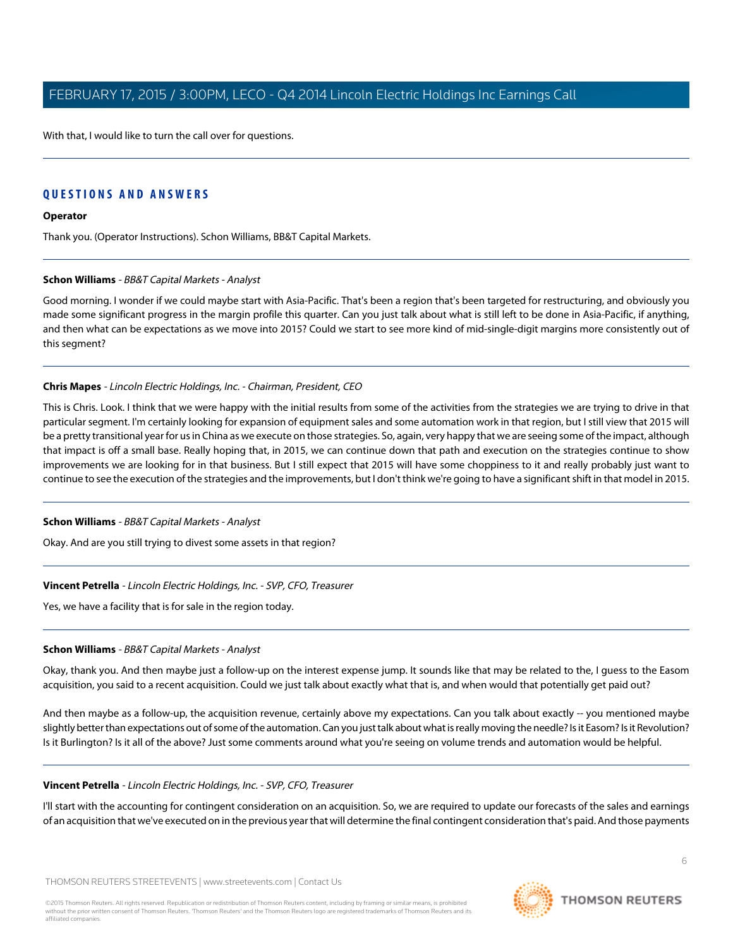With that, I would like to turn the call over for questions.

# **QUESTIONS AND ANSWERS**

## **Operator**

<span id="page-5-0"></span>Thank you. (Operator Instructions). Schon Williams, BB&T Capital Markets.

#### **Schon Williams** - BB&T Capital Markets - Analyst

Good morning. I wonder if we could maybe start with Asia-Pacific. That's been a region that's been targeted for restructuring, and obviously you made some significant progress in the margin profile this quarter. Can you just talk about what is still left to be done in Asia-Pacific, if anything, and then what can be expectations as we move into 2015? Could we start to see more kind of mid-single-digit margins more consistently out of this segment?

## **Chris Mapes** - Lincoln Electric Holdings, Inc. - Chairman, President, CEO

This is Chris. Look. I think that we were happy with the initial results from some of the activities from the strategies we are trying to drive in that particular segment. I'm certainly looking for expansion of equipment sales and some automation work in that region, but I still view that 2015 will be a pretty transitional year for us in China as we execute on those strategies. So, again, very happy that we are seeing some of the impact, although that impact is off a small base. Really hoping that, in 2015, we can continue down that path and execution on the strategies continue to show improvements we are looking for in that business. But I still expect that 2015 will have some choppiness to it and really probably just want to continue to see the execution of the strategies and the improvements, but I don't think we're going to have a significant shift in that model in 2015.

#### **Schon Williams** - BB&T Capital Markets - Analyst

Okay. And are you still trying to divest some assets in that region?

# **Vincent Petrella** - Lincoln Electric Holdings, Inc. - SVP, CFO, Treasurer

Yes, we have a facility that is for sale in the region today.

#### **Schon Williams** - BB&T Capital Markets - Analyst

Okay, thank you. And then maybe just a follow-up on the interest expense jump. It sounds like that may be related to the, I guess to the Easom acquisition, you said to a recent acquisition. Could we just talk about exactly what that is, and when would that potentially get paid out?

And then maybe as a follow-up, the acquisition revenue, certainly above my expectations. Can you talk about exactly -- you mentioned maybe slightly better than expectations out of some of the automation. Can you just talk about what is really moving the needle? Is it Easom? Is it Revolution? Is it Burlington? Is it all of the above? Just some comments around what you're seeing on volume trends and automation would be helpful.

#### **Vincent Petrella** - Lincoln Electric Holdings, Inc. - SVP, CFO, Treasurer

I'll start with the accounting for contingent consideration on an acquisition. So, we are required to update our forecasts of the sales and earnings of an acquisition that we've executed on in the previous year that will determine the final contingent consideration that's paid. And those payments

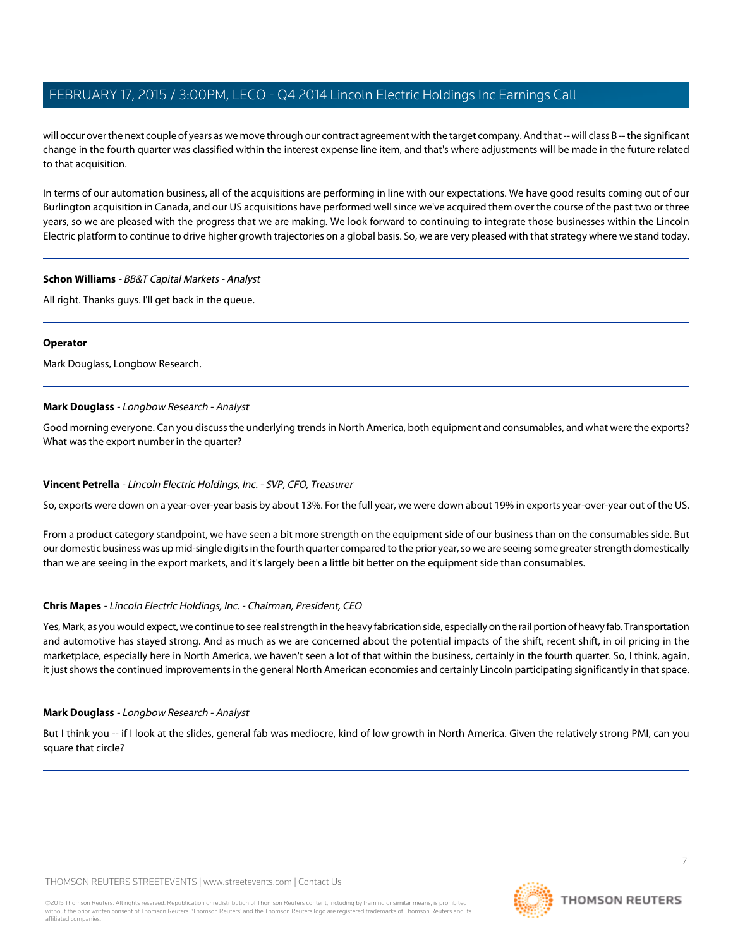will occur over the next couple of years as we move through our contract agreement with the target company. And that -- will class B -- the significant change in the fourth quarter was classified within the interest expense line item, and that's where adjustments will be made in the future related to that acquisition.

In terms of our automation business, all of the acquisitions are performing in line with our expectations. We have good results coming out of our Burlington acquisition in Canada, and our US acquisitions have performed well since we've acquired them over the course of the past two or three years, so we are pleased with the progress that we are making. We look forward to continuing to integrate those businesses within the Lincoln Electric platform to continue to drive higher growth trajectories on a global basis. So, we are very pleased with that strategy where we stand today.

#### **Schon Williams** - BB&T Capital Markets - Analyst

All right. Thanks guys. I'll get back in the queue.

## **Operator**

<span id="page-6-0"></span>Mark Douglass, Longbow Research.

# **Mark Douglass** - Longbow Research - Analyst

Good morning everyone. Can you discuss the underlying trends in North America, both equipment and consumables, and what were the exports? What was the export number in the quarter?

# **Vincent Petrella** - Lincoln Electric Holdings, Inc. - SVP, CFO, Treasurer

So, exports were down on a year-over-year basis by about 13%. For the full year, we were down about 19% in exports year-over-year out of the US.

From a product category standpoint, we have seen a bit more strength on the equipment side of our business than on the consumables side. But our domestic business was up mid-single digits in the fourth quarter compared to the prior year, so we are seeing some greater strength domestically than we are seeing in the export markets, and it's largely been a little bit better on the equipment side than consumables.

# **Chris Mapes** - Lincoln Electric Holdings, Inc. - Chairman, President, CEO

Yes, Mark, as you would expect, we continue to see real strength in the heavy fabrication side, especially on the rail portion of heavy fab. Transportation and automotive has stayed strong. And as much as we are concerned about the potential impacts of the shift, recent shift, in oil pricing in the marketplace, especially here in North America, we haven't seen a lot of that within the business, certainly in the fourth quarter. So, I think, again, it just shows the continued improvements in the general North American economies and certainly Lincoln participating significantly in that space.

# **Mark Douglass** - Longbow Research - Analyst

But I think you -- if I look at the slides, general fab was mediocre, kind of low growth in North America. Given the relatively strong PMI, can you square that circle?

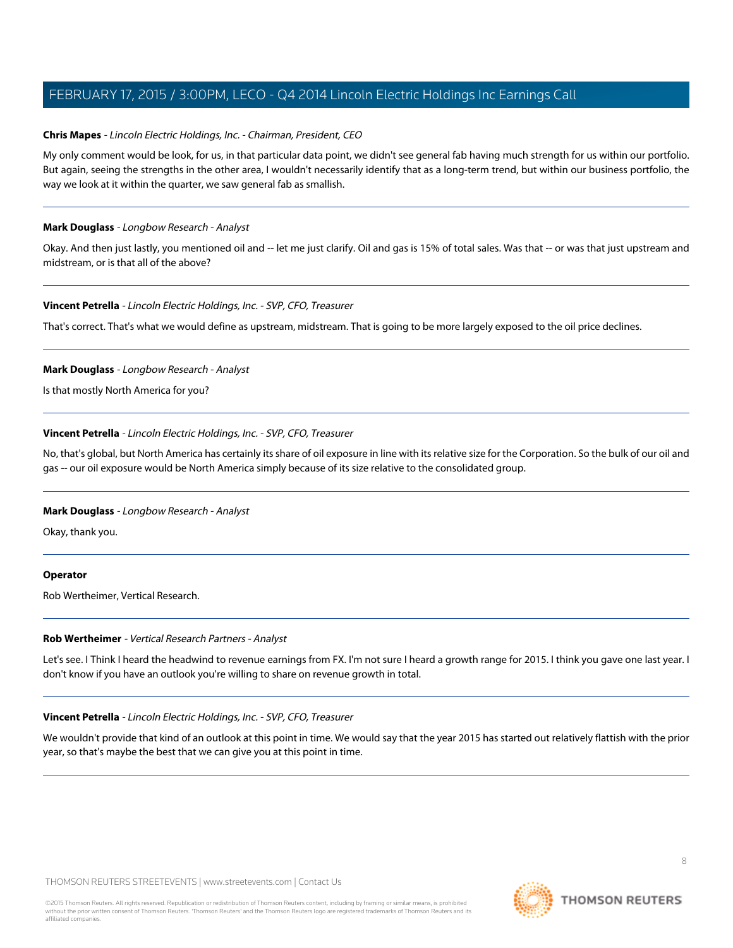## **Chris Mapes** - Lincoln Electric Holdings, Inc. - Chairman, President, CEO

My only comment would be look, for us, in that particular data point, we didn't see general fab having much strength for us within our portfolio. But again, seeing the strengths in the other area, I wouldn't necessarily identify that as a long-term trend, but within our business portfolio, the way we look at it within the quarter, we saw general fab as smallish.

#### **Mark Douglass** - Longbow Research - Analyst

Okay. And then just lastly, you mentioned oil and -- let me just clarify. Oil and gas is 15% of total sales. Was that -- or was that just upstream and midstream, or is that all of the above?

#### **Vincent Petrella** - Lincoln Electric Holdings, Inc. - SVP, CFO, Treasurer

That's correct. That's what we would define as upstream, midstream. That is going to be more largely exposed to the oil price declines.

## **Mark Douglass** - Longbow Research - Analyst

Is that mostly North America for you?

## **Vincent Petrella** - Lincoln Electric Holdings, Inc. - SVP, CFO, Treasurer

No, that's global, but North America has certainly its share of oil exposure in line with its relative size for the Corporation. So the bulk of our oil and gas -- our oil exposure would be North America simply because of its size relative to the consolidated group.

#### **Mark Douglass** - Longbow Research - Analyst

Okay, thank you.

#### <span id="page-7-0"></span>**Operator**

Rob Wertheimer, Vertical Research.

#### **Rob Wertheimer** - Vertical Research Partners - Analyst

Let's see. I Think I heard the headwind to revenue earnings from FX. I'm not sure I heard a growth range for 2015. I think you gave one last year. I don't know if you have an outlook you're willing to share on revenue growth in total.

#### **Vincent Petrella** - Lincoln Electric Holdings, Inc. - SVP, CFO, Treasurer

We wouldn't provide that kind of an outlook at this point in time. We would say that the year 2015 has started out relatively flattish with the prior year, so that's maybe the best that we can give you at this point in time.

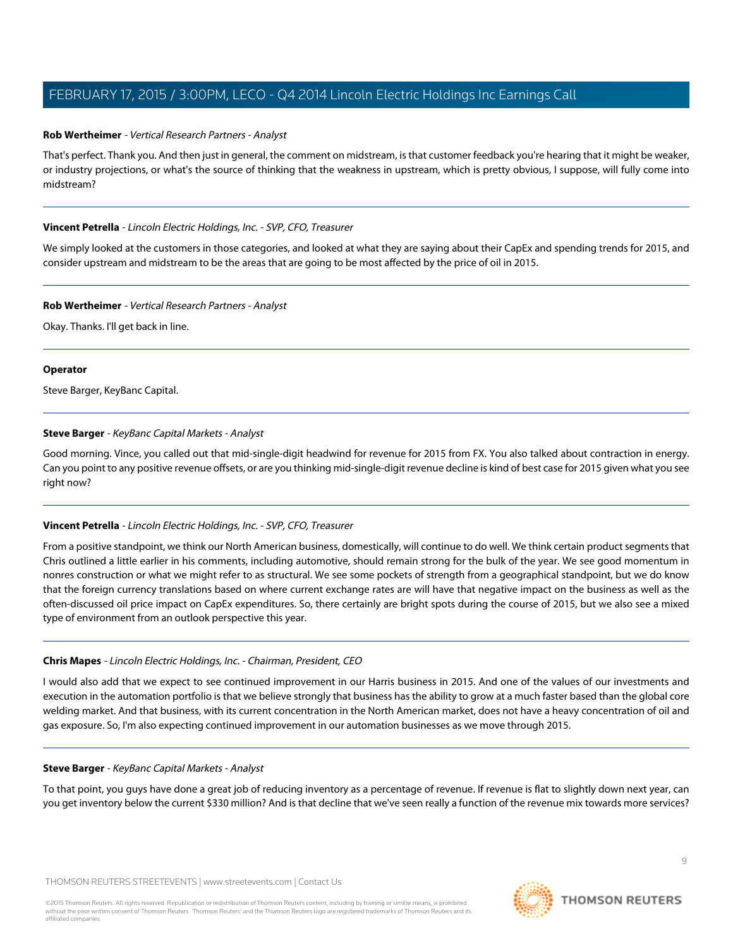#### **Rob Wertheimer** - Vertical Research Partners - Analyst

That's perfect. Thank you. And then just in general, the comment on midstream, is that customer feedback you're hearing that it might be weaker, or industry projections, or what's the source of thinking that the weakness in upstream, which is pretty obvious, I suppose, will fully come into midstream?

## **Vincent Petrella** - Lincoln Electric Holdings, Inc. - SVP, CFO, Treasurer

We simply looked at the customers in those categories, and looked at what they are saying about their CapEx and spending trends for 2015, and consider upstream and midstream to be the areas that are going to be most affected by the price of oil in 2015.

#### **Rob Wertheimer** - Vertical Research Partners - Analyst

Okay. Thanks. I'll get back in line.

## **Operator**

<span id="page-8-0"></span>Steve Barger, KeyBanc Capital.

# **Steve Barger** - KeyBanc Capital Markets - Analyst

Good morning. Vince, you called out that mid-single-digit headwind for revenue for 2015 from FX. You also talked about contraction in energy. Can you point to any positive revenue offsets, or are you thinking mid-single-digit revenue decline is kind of best case for 2015 given what you see right now?

# **Vincent Petrella** - Lincoln Electric Holdings, Inc. - SVP, CFO, Treasurer

From a positive standpoint, we think our North American business, domestically, will continue to do well. We think certain product segments that Chris outlined a little earlier in his comments, including automotive, should remain strong for the bulk of the year. We see good momentum in nonres construction or what we might refer to as structural. We see some pockets of strength from a geographical standpoint, but we do know that the foreign currency translations based on where current exchange rates are will have that negative impact on the business as well as the often-discussed oil price impact on CapEx expenditures. So, there certainly are bright spots during the course of 2015, but we also see a mixed type of environment from an outlook perspective this year.

# **Chris Mapes** - Lincoln Electric Holdings, Inc. - Chairman, President, CEO

I would also add that we expect to see continued improvement in our Harris business in 2015. And one of the values of our investments and execution in the automation portfolio is that we believe strongly that business has the ability to grow at a much faster based than the global core welding market. And that business, with its current concentration in the North American market, does not have a heavy concentration of oil and gas exposure. So, I'm also expecting continued improvement in our automation businesses as we move through 2015.

#### **Steve Barger** - KeyBanc Capital Markets - Analyst

To that point, you guys have done a great job of reducing inventory as a percentage of revenue. If revenue is flat to slightly down next year, can you get inventory below the current \$330 million? And is that decline that we've seen really a function of the revenue mix towards more services?

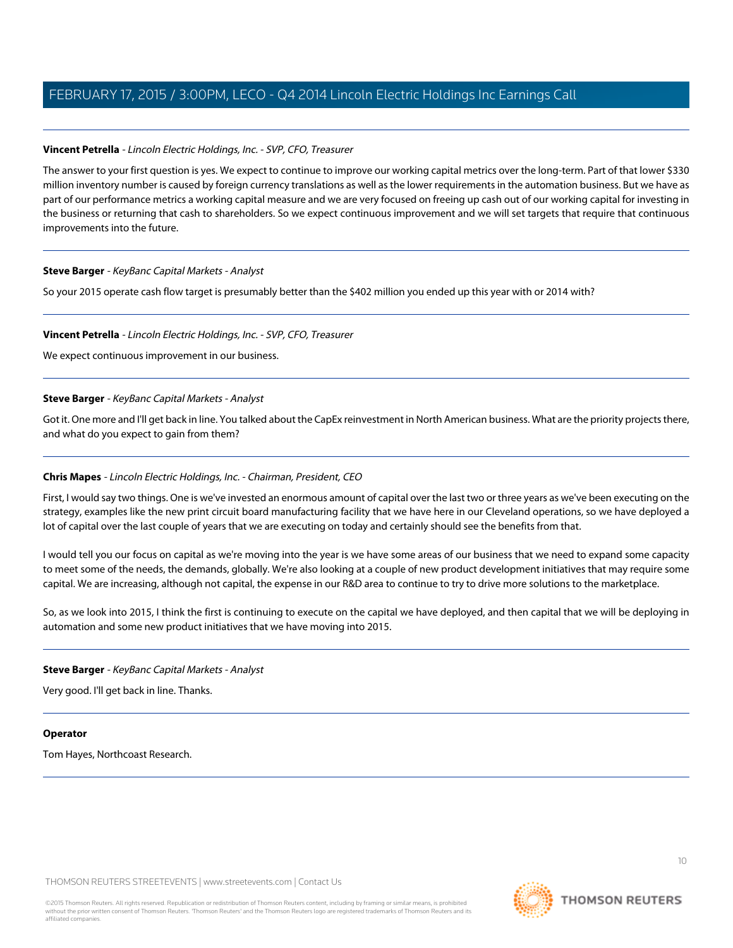## **Vincent Petrella** - Lincoln Electric Holdings, Inc. - SVP, CFO, Treasurer

The answer to your first question is yes. We expect to continue to improve our working capital metrics over the long-term. Part of that lower \$330 million inventory number is caused by foreign currency translations as well as the lower requirements in the automation business. But we have as part of our performance metrics a working capital measure and we are very focused on freeing up cash out of our working capital for investing in the business or returning that cash to shareholders. So we expect continuous improvement and we will set targets that require that continuous improvements into the future.

#### **Steve Barger** - KeyBanc Capital Markets - Analyst

So your 2015 operate cash flow target is presumably better than the \$402 million you ended up this year with or 2014 with?

## **Vincent Petrella** - Lincoln Electric Holdings, Inc. - SVP, CFO, Treasurer

We expect continuous improvement in our business.

## **Steve Barger** - KeyBanc Capital Markets - Analyst

Got it. One more and I'll get back in line. You talked about the CapEx reinvestment in North American business. What are the priority projects there, and what do you expect to gain from them?

#### **Chris Mapes** - Lincoln Electric Holdings, Inc. - Chairman, President, CEO

First, I would say two things. One is we've invested an enormous amount of capital over the last two or three years as we've been executing on the strategy, examples like the new print circuit board manufacturing facility that we have here in our Cleveland operations, so we have deployed a lot of capital over the last couple of years that we are executing on today and certainly should see the benefits from that.

I would tell you our focus on capital as we're moving into the year is we have some areas of our business that we need to expand some capacity to meet some of the needs, the demands, globally. We're also looking at a couple of new product development initiatives that may require some capital. We are increasing, although not capital, the expense in our R&D area to continue to try to drive more solutions to the marketplace.

So, as we look into 2015, I think the first is continuing to execute on the capital we have deployed, and then capital that we will be deploying in automation and some new product initiatives that we have moving into 2015.

#### **Steve Barger** - KeyBanc Capital Markets - Analyst

Very good. I'll get back in line. Thanks.

#### **Operator**

Tom Hayes, Northcoast Research.

THOMSON REUTERS STREETEVENTS | [www.streetevents.com](http://www.streetevents.com) | [Contact Us](http://www010.streetevents.com/contact.asp)

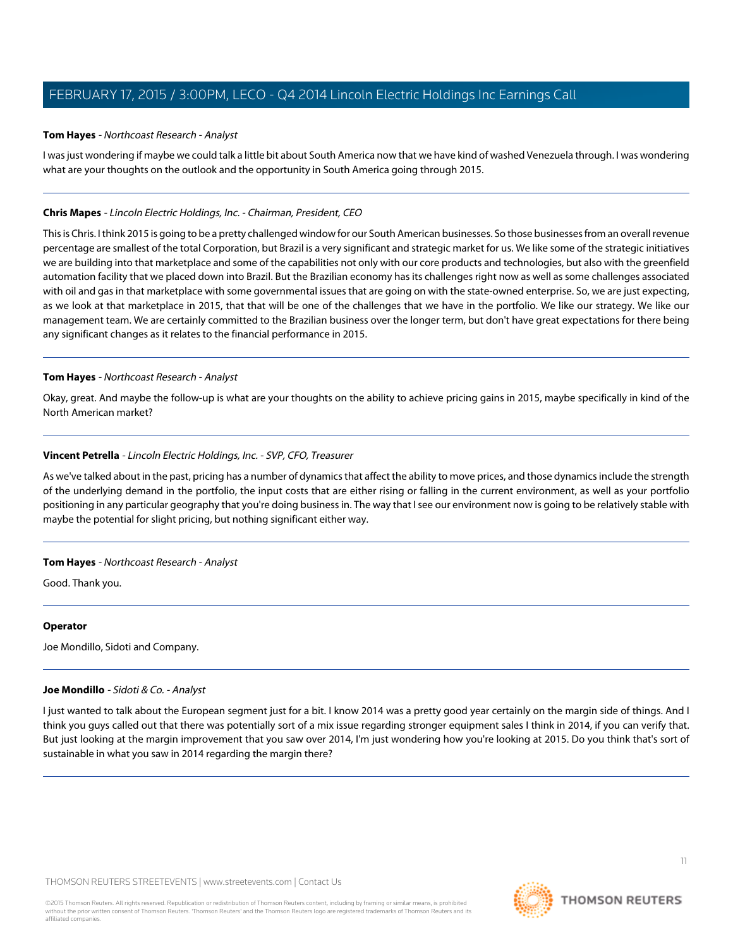#### <span id="page-10-0"></span>**Tom Hayes** - Northcoast Research - Analyst

I was just wondering if maybe we could talk a little bit about South America now that we have kind of washed Venezuela through. I was wondering what are your thoughts on the outlook and the opportunity in South America going through 2015.

## **Chris Mapes** - Lincoln Electric Holdings, Inc. - Chairman, President, CEO

This is Chris. I think 2015 is going to be a pretty challenged window for our South American businesses. So those businesses from an overall revenue percentage are smallest of the total Corporation, but Brazil is a very significant and strategic market for us. We like some of the strategic initiatives we are building into that marketplace and some of the capabilities not only with our core products and technologies, but also with the greenfield automation facility that we placed down into Brazil. But the Brazilian economy has its challenges right now as well as some challenges associated with oil and gas in that marketplace with some governmental issues that are going on with the state-owned enterprise. So, we are just expecting, as we look at that marketplace in 2015, that that will be one of the challenges that we have in the portfolio. We like our strategy. We like our management team. We are certainly committed to the Brazilian business over the longer term, but don't have great expectations for there being any significant changes as it relates to the financial performance in 2015.

## **Tom Hayes** - Northcoast Research - Analyst

Okay, great. And maybe the follow-up is what are your thoughts on the ability to achieve pricing gains in 2015, maybe specifically in kind of the North American market?

## **Vincent Petrella** - Lincoln Electric Holdings, Inc. - SVP, CFO, Treasurer

As we've talked about in the past, pricing has a number of dynamics that affect the ability to move prices, and those dynamics include the strength of the underlying demand in the portfolio, the input costs that are either rising or falling in the current environment, as well as your portfolio positioning in any particular geography that you're doing business in. The way that I see our environment now is going to be relatively stable with maybe the potential for slight pricing, but nothing significant either way.

#### **Tom Hayes** - Northcoast Research - Analyst

Good. Thank you.

#### <span id="page-10-1"></span>**Operator**

Joe Mondillo, Sidoti and Company.

#### **Joe Mondillo** - Sidoti & Co. - Analyst

I just wanted to talk about the European segment just for a bit. I know 2014 was a pretty good year certainly on the margin side of things. And I think you guys called out that there was potentially sort of a mix issue regarding stronger equipment sales I think in 2014, if you can verify that. But just looking at the margin improvement that you saw over 2014, I'm just wondering how you're looking at 2015. Do you think that's sort of sustainable in what you saw in 2014 regarding the margin there?

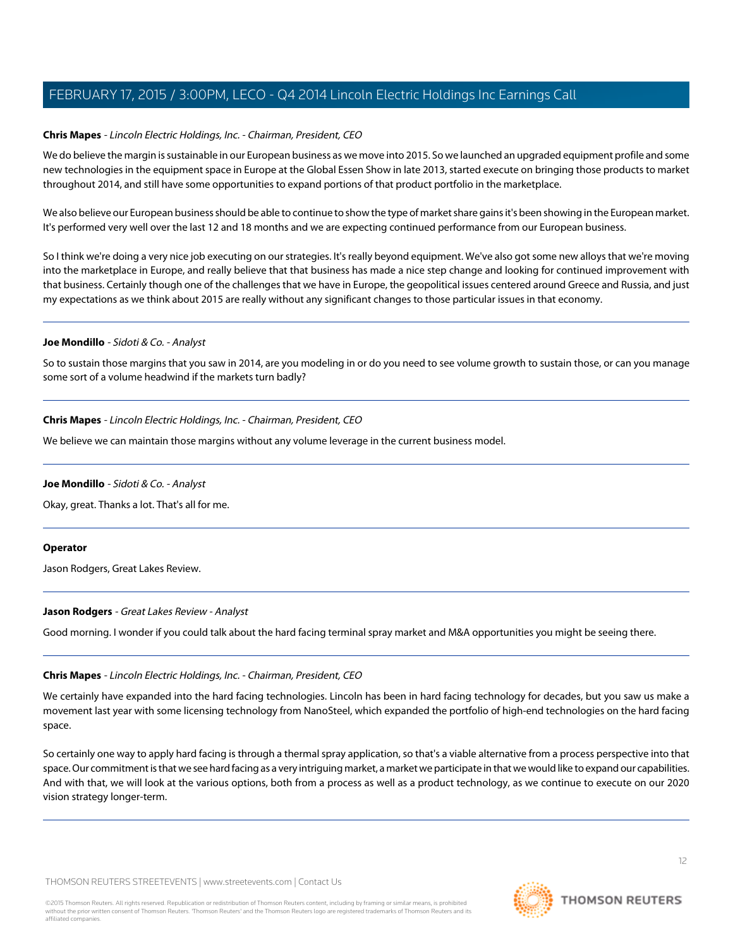# **Chris Mapes** - Lincoln Electric Holdings, Inc. - Chairman, President, CEO

We do believe the margin is sustainable in our European business as we move into 2015. So we launched an upgraded equipment profile and some new technologies in the equipment space in Europe at the Global Essen Show in late 2013, started execute on bringing those products to market throughout 2014, and still have some opportunities to expand portions of that product portfolio in the marketplace.

We also believe our European business should be able to continue to show the type of market share gains it's been showing in the European market. It's performed very well over the last 12 and 18 months and we are expecting continued performance from our European business.

So I think we're doing a very nice job executing on our strategies. It's really beyond equipment. We've also got some new alloys that we're moving into the marketplace in Europe, and really believe that that business has made a nice step change and looking for continued improvement with that business. Certainly though one of the challenges that we have in Europe, the geopolitical issues centered around Greece and Russia, and just my expectations as we think about 2015 are really without any significant changes to those particular issues in that economy.

## **Joe Mondillo** - Sidoti & Co. - Analyst

So to sustain those margins that you saw in 2014, are you modeling in or do you need to see volume growth to sustain those, or can you manage some sort of a volume headwind if the markets turn badly?

## **Chris Mapes** - Lincoln Electric Holdings, Inc. - Chairman, President, CEO

We believe we can maintain those margins without any volume leverage in the current business model.

# **Joe Mondillo** - Sidoti & Co. - Analyst

Okay, great. Thanks a lot. That's all for me.

#### <span id="page-11-0"></span>**Operator**

Jason Rodgers, Great Lakes Review.

# **Jason Rodgers** - Great Lakes Review - Analyst

Good morning. I wonder if you could talk about the hard facing terminal spray market and M&A opportunities you might be seeing there.

# **Chris Mapes** - Lincoln Electric Holdings, Inc. - Chairman, President, CEO

We certainly have expanded into the hard facing technologies. Lincoln has been in hard facing technology for decades, but you saw us make a movement last year with some licensing technology from NanoSteel, which expanded the portfolio of high-end technologies on the hard facing space.

So certainly one way to apply hard facing is through a thermal spray application, so that's a viable alternative from a process perspective into that space. Our commitment is that we see hard facing as a very intriguing market, a market we participate in that we would like to expand our capabilities. And with that, we will look at the various options, both from a process as well as a product technology, as we continue to execute on our 2020 vision strategy longer-term.



12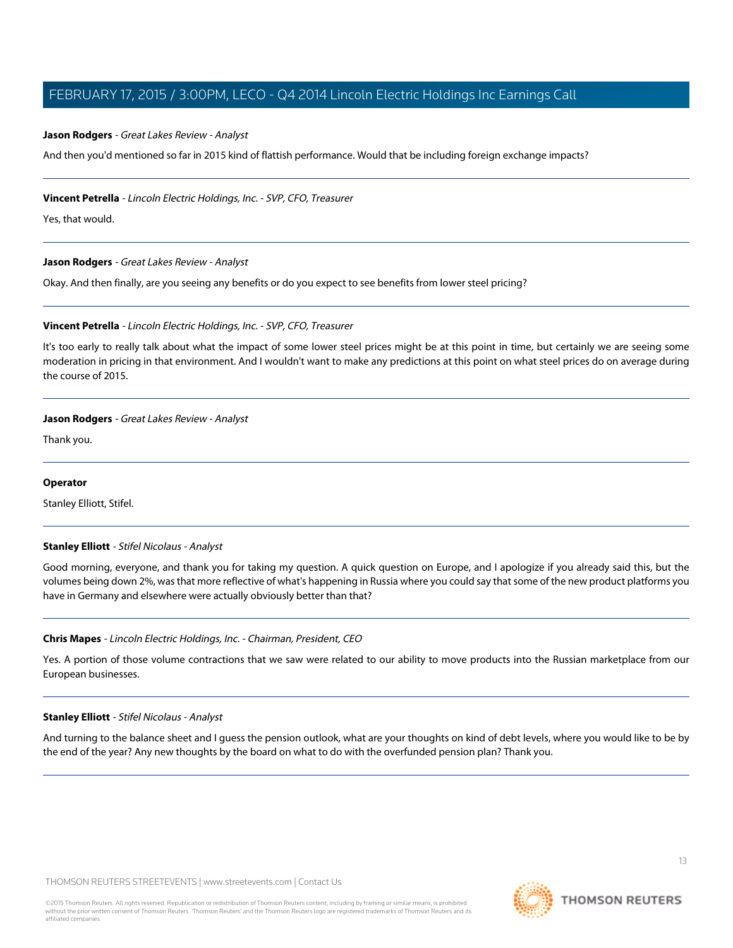#### **Jason Rodgers** - Great Lakes Review - Analyst

And then you'd mentioned so far in 2015 kind of flattish performance. Would that be including foreign exchange impacts?

#### **Vincent Petrella** - Lincoln Electric Holdings, Inc. - SVP, CFO, Treasurer

Yes, that would.

#### **Jason Rodgers** - Great Lakes Review - Analyst

Okay. And then finally, are you seeing any benefits or do you expect to see benefits from lower steel pricing?

## **Vincent Petrella** - Lincoln Electric Holdings, Inc. - SVP, CFO, Treasurer

It's too early to really talk about what the impact of some lower steel prices might be at this point in time, but certainly we are seeing some moderation in pricing in that environment. And I wouldn't want to make any predictions at this point on what steel prices do on average during the course of 2015.

#### **Jason Rodgers** - Great Lakes Review - Analyst

Thank you.

#### <span id="page-12-0"></span>**Operator**

Stanley Elliott, Stifel.

#### **Stanley Elliott** - Stifel Nicolaus - Analyst

Good morning, everyone, and thank you for taking my question. A quick question on Europe, and I apologize if you already said this, but the volumes being down 2%, was that more reflective of what's happening in Russia where you could say that some of the new product platforms you have in Germany and elsewhere were actually obviously better than that?

# **Chris Mapes** - Lincoln Electric Holdings, Inc. - Chairman, President, CEO

Yes. A portion of those volume contractions that we saw were related to our ability to move products into the Russian marketplace from our European businesses.

#### **Stanley Elliott** - Stifel Nicolaus - Analyst

And turning to the balance sheet and I guess the pension outlook, what are your thoughts on kind of debt levels, where you would like to be by the end of the year? Any new thoughts by the board on what to do with the overfunded pension plan? Thank you.

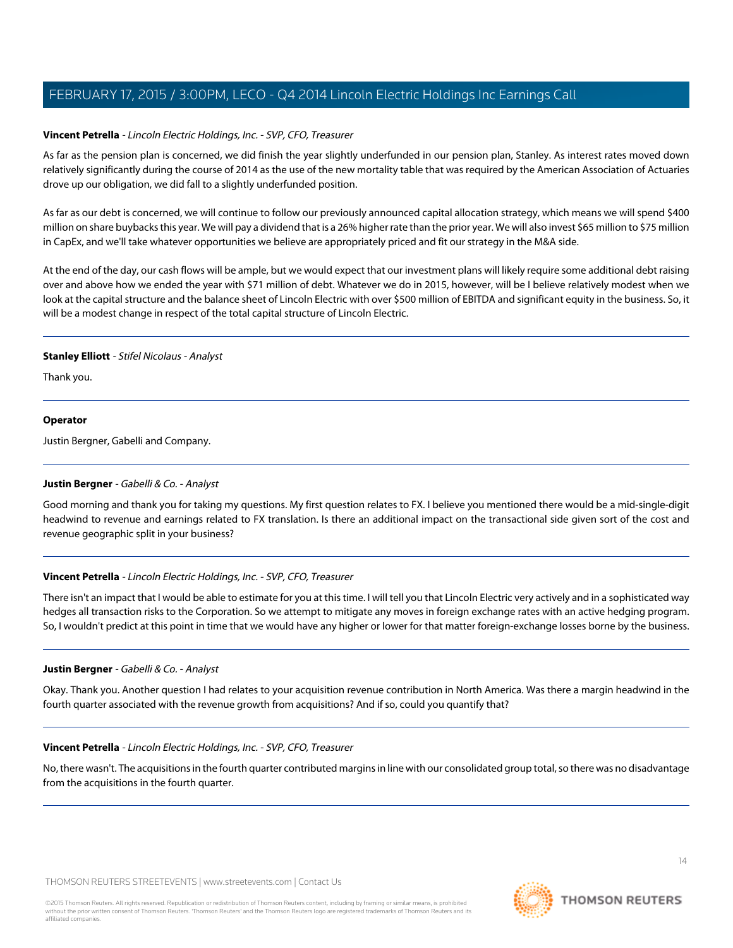# **Vincent Petrella** - Lincoln Electric Holdings, Inc. - SVP, CFO, Treasurer

As far as the pension plan is concerned, we did finish the year slightly underfunded in our pension plan, Stanley. As interest rates moved down relatively significantly during the course of 2014 as the use of the new mortality table that was required by the American Association of Actuaries drove up our obligation, we did fall to a slightly underfunded position.

As far as our debt is concerned, we will continue to follow our previously announced capital allocation strategy, which means we will spend \$400 million on share buybacks this year. We will pay a dividend that is a 26% higher rate than the prior year. We will also invest \$65 million to \$75 million in CapEx, and we'll take whatever opportunities we believe are appropriately priced and fit our strategy in the M&A side.

At the end of the day, our cash flows will be ample, but we would expect that our investment plans will likely require some additional debt raising over and above how we ended the year with \$71 million of debt. Whatever we do in 2015, however, will be I believe relatively modest when we look at the capital structure and the balance sheet of Lincoln Electric with over \$500 million of EBITDA and significant equity in the business. So, it will be a modest change in respect of the total capital structure of Lincoln Electric.

# **Stanley Elliott** - Stifel Nicolaus - Analyst

Thank you.

# **Operator**

<span id="page-13-0"></span>Justin Bergner, Gabelli and Company.

# **Justin Bergner** - Gabelli & Co. - Analyst

Good morning and thank you for taking my questions. My first question relates to FX. I believe you mentioned there would be a mid-single-digit headwind to revenue and earnings related to FX translation. Is there an additional impact on the transactional side given sort of the cost and revenue geographic split in your business?

# **Vincent Petrella** - Lincoln Electric Holdings, Inc. - SVP, CFO, Treasurer

There isn't an impact that I would be able to estimate for you at this time. I will tell you that Lincoln Electric very actively and in a sophisticated way hedges all transaction risks to the Corporation. So we attempt to mitigate any moves in foreign exchange rates with an active hedging program. So, I wouldn't predict at this point in time that we would have any higher or lower for that matter foreign-exchange losses borne by the business.

# **Justin Bergner** - Gabelli & Co. - Analyst

Okay. Thank you. Another question I had relates to your acquisition revenue contribution in North America. Was there a margin headwind in the fourth quarter associated with the revenue growth from acquisitions? And if so, could you quantify that?

# **Vincent Petrella** - Lincoln Electric Holdings, Inc. - SVP, CFO, Treasurer

No, there wasn't. The acquisitions in the fourth quarter contributed margins in line with our consolidated group total, so there was no disadvantage from the acquisitions in the fourth quarter.

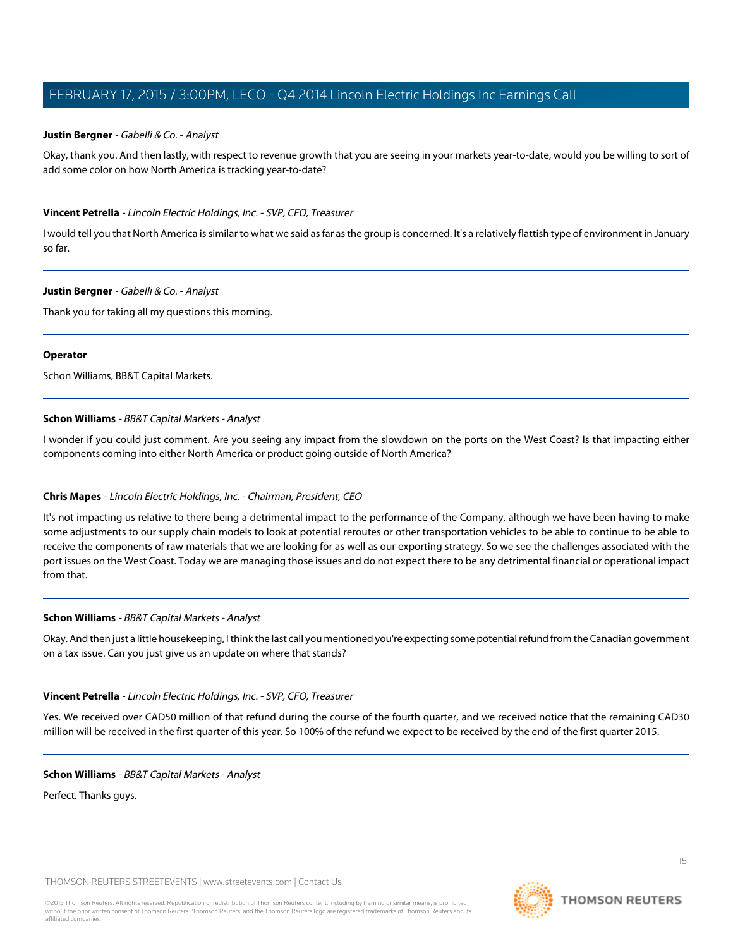#### **Justin Bergner** - Gabelli & Co. - Analyst

Okay, thank you. And then lastly, with respect to revenue growth that you are seeing in your markets year-to-date, would you be willing to sort of add some color on how North America is tracking year-to-date?

#### **Vincent Petrella** - Lincoln Electric Holdings, Inc. - SVP, CFO, Treasurer

I would tell you that North America is similar to what we said as far as the group is concerned. It's a relatively flattish type of environment in January so far.

#### **Justin Bergner** - Gabelli & Co. - Analyst

Thank you for taking all my questions this morning.

## **Operator**

Schon Williams, BB&T Capital Markets.

## **Schon Williams** - BB&T Capital Markets - Analyst

I wonder if you could just comment. Are you seeing any impact from the slowdown on the ports on the West Coast? Is that impacting either components coming into either North America or product going outside of North America?

# **Chris Mapes** - Lincoln Electric Holdings, Inc. - Chairman, President, CEO

It's not impacting us relative to there being a detrimental impact to the performance of the Company, although we have been having to make some adjustments to our supply chain models to look at potential reroutes or other transportation vehicles to be able to continue to be able to receive the components of raw materials that we are looking for as well as our exporting strategy. So we see the challenges associated with the port issues on the West Coast. Today we are managing those issues and do not expect there to be any detrimental financial or operational impact from that.

#### **Schon Williams** - BB&T Capital Markets - Analyst

Okay. And then just a little housekeeping, I think the last call you mentioned you're expecting some potential refund from the Canadian government on a tax issue. Can you just give us an update on where that stands?

#### **Vincent Petrella** - Lincoln Electric Holdings, Inc. - SVP, CFO, Treasurer

Yes. We received over CAD50 million of that refund during the course of the fourth quarter, and we received notice that the remaining CAD30 million will be received in the first quarter of this year. So 100% of the refund we expect to be received by the end of the first quarter 2015.

#### **Schon Williams** - BB&T Capital Markets - Analyst

Perfect. Thanks guys.

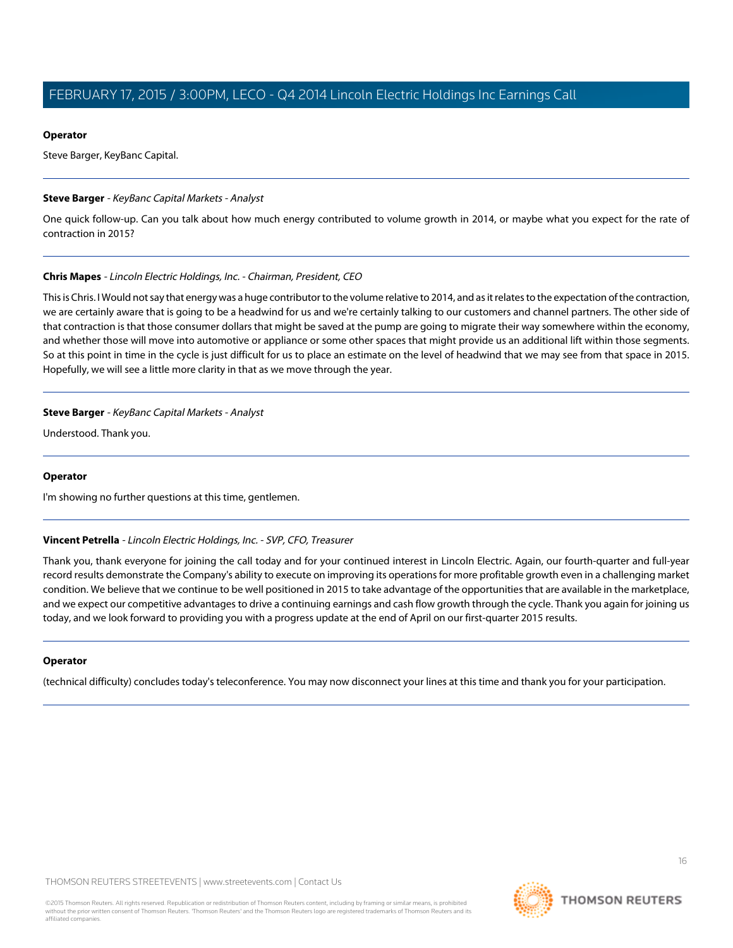## **Operator**

Steve Barger, KeyBanc Capital.

## **Steve Barger** - KeyBanc Capital Markets - Analyst

One quick follow-up. Can you talk about how much energy contributed to volume growth in 2014, or maybe what you expect for the rate of contraction in 2015?

## **Chris Mapes** - Lincoln Electric Holdings, Inc. - Chairman, President, CEO

This is Chris. I Would not say that energy was a huge contributor to the volume relative to 2014, and as it relates to the expectation of the contraction, we are certainly aware that is going to be a headwind for us and we're certainly talking to our customers and channel partners. The other side of that contraction is that those consumer dollars that might be saved at the pump are going to migrate their way somewhere within the economy, and whether those will move into automotive or appliance or some other spaces that might provide us an additional lift within those segments. So at this point in time in the cycle is just difficult for us to place an estimate on the level of headwind that we may see from that space in 2015. Hopefully, we will see a little more clarity in that as we move through the year.

## **Steve Barger** - KeyBanc Capital Markets - Analyst

Understood. Thank you.

#### **Operator**

I'm showing no further questions at this time, gentlemen.

# **Vincent Petrella** - Lincoln Electric Holdings, Inc. - SVP, CFO, Treasurer

Thank you, thank everyone for joining the call today and for your continued interest in Lincoln Electric. Again, our fourth-quarter and full-year record results demonstrate the Company's ability to execute on improving its operations for more profitable growth even in a challenging market condition. We believe that we continue to be well positioned in 2015 to take advantage of the opportunities that are available in the marketplace, and we expect our competitive advantages to drive a continuing earnings and cash flow growth through the cycle. Thank you again for joining us today, and we look forward to providing you with a progress update at the end of April on our first-quarter 2015 results.

# **Operator**

(technical difficulty) concludes today's teleconference. You may now disconnect your lines at this time and thank you for your participation.